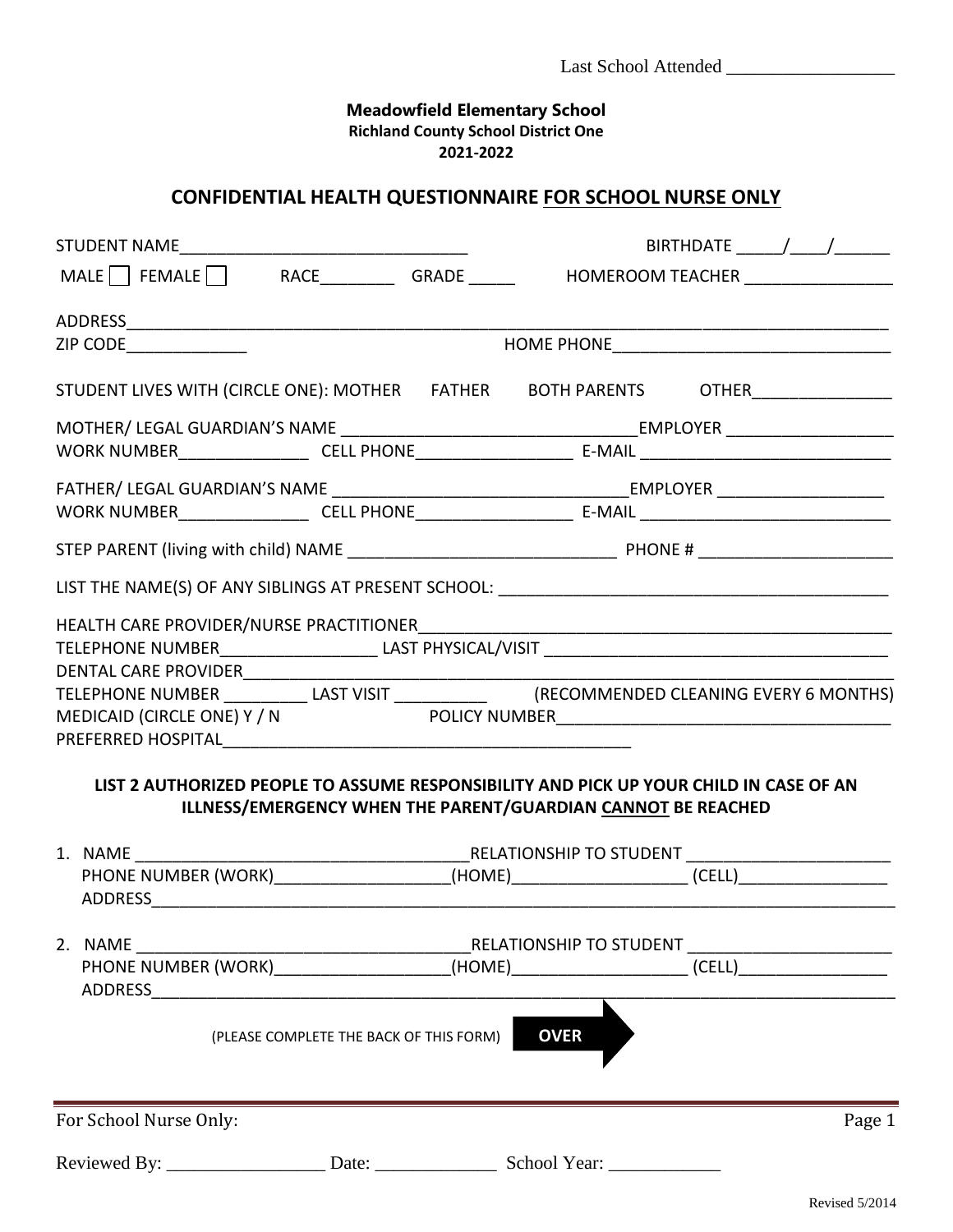## **Meadowfield Elementary School Richland County School District One 2021-2022**

## **CONFIDENTIAL HEALTH QUESTIONNAIRE FOR SCHOOL NURSE ONLY**

|                                                                                             | BIRTHDATE $\_\_\_\_\_\_\_\_\_\_\_\_\_\_\_\_\_\_\_\_\_\_\_\_\_\_\_$                                                                                            |
|---------------------------------------------------------------------------------------------|---------------------------------------------------------------------------------------------------------------------------------------------------------------|
|                                                                                             | MALE FEMALE RACE RACE GRADE HOMEROOM TEACHER                                                                                                                  |
|                                                                                             |                                                                                                                                                               |
| ZIP CODE_____________                                                                       |                                                                                                                                                               |
|                                                                                             | STUDENT LIVES WITH (CIRCLE ONE): MOTHER FATHER BOTH PARENTS OTHER_______________                                                                              |
|                                                                                             |                                                                                                                                                               |
|                                                                                             |                                                                                                                                                               |
|                                                                                             |                                                                                                                                                               |
|                                                                                             |                                                                                                                                                               |
|                                                                                             |                                                                                                                                                               |
|                                                                                             |                                                                                                                                                               |
| DENTAL CARE PROVIDER___________                                                             |                                                                                                                                                               |
|                                                                                             | MEDICAID (CIRCLE ONE) Y / N POLICY NUMBER<br>DICAID (CIRCLE ONE) Y / N POLICY NUMBER                                                                          |
|                                                                                             | LIST 2 AUTHORIZED PEOPLE TO ASSUME RESPONSIBILITY AND PICK UP YOUR CHILD IN CASE OF AN<br><b>ILLNESS/EMERGENCY WHEN THE PARENT/GUARDIAN CANNOT BE REACHED</b> |
|                                                                                             |                                                                                                                                                               |
|                                                                                             | PHONE NUMBER (WORK)______________________(HOME)________________________(CELL)______________________                                                           |
|                                                                                             |                                                                                                                                                               |
| 2. NAME<br>PHONE NUMBER (WORK)________________________(HOME)_______________________________ | RELATIONSHIP TO STUDENT<br>(CELL)                                                                                                                             |
| (PLEASE COMPLETE THE BACK OF THIS FORM)                                                     | <b>OVER</b>                                                                                                                                                   |
| For School Nurse Only:                                                                      | Page 1                                                                                                                                                        |
|                                                                                             |                                                                                                                                                               |